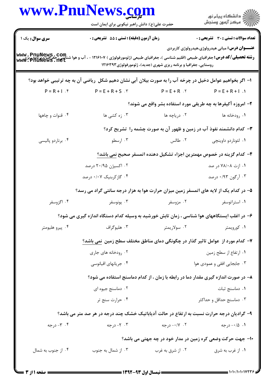|                    | حضرت علی(ع): دانش راهبر نیکویی برای ایمان است                                                                                                                                                                |                                                                  | ر<br>راک دانشگاه پیام نور<br>از مرکز آزمون وسنجش                                   |
|--------------------|--------------------------------------------------------------------------------------------------------------------------------------------------------------------------------------------------------------|------------------------------------------------------------------|------------------------------------------------------------------------------------|
| سری سوال: یک ۱     | زمان آزمون (دقیقه) : تستی : 55 تشریحی : 0                                                                                                                                                                    |                                                                  | <b>تعداد سوالات : تستی : 30 ٪ تشریحی : 0</b>                                       |
|                    | <b>www . PnuNews . Com.</b><br>ر <b>شته تحصیلی/کد درس:</b> جغرافیای طبیعی (اقلیم شناسی )، جغرافیای طبیعی (ژئومورفولوژی ) ۱۲۱۶۱۰۷ - ، آب و هوا شناسی، جغرافیا و پر www . PnuNews . net<br>www . PnuNews . net | روستایی، جغرافیا و برنامه ریزی شهری (جدید)، ژئومورفولوژی ۱۲۱۶۳۹۳ | <b>عنـــوان درس:</b> مبانی هیدرولوژی،هیدرولوژی کاربردی                             |
|                    | ا– اگر بخواهیم عوامل دخیل در چرخه آب را به صورت بیلان آبی نشان دهیم شکل ۖ ریاضی آن به چه ترتیبی خواهد بود؟                                                                                                   |                                                                  |                                                                                    |
| $P = R + 1.$       | $P = E + R + S$ .                                                                                                                                                                                            | $P = E + R$ . Y                                                  | $P = E + R + 1$ .                                                                  |
|                    |                                                                                                                                                                                                              |                                                                  | ۲- امروزه آکیفرها به چه طریقی مورد استفاده بشر واقع می شوند؟                       |
| ۰۴ قنوات و چاهها   | ۰۳ زه کشی ها                                                                                                                                                                                                 | ۰۲ دریاچه ها                                                     | ۰۱ رودخانه ها                                                                      |
|                    |                                                                                                                                                                                                              |                                                                  | ۳- کدام دانشمند نفوذ آب در زمین و ظهور آن به صورت چشمه را تشریح کرد؟               |
| ۰۴ برناردو پالیسی  | ۰۳ ارسطو                                                                                                                                                                                                     | ۲. طالس                                                          | ٠١ لئوناردو داوينچى                                                                |
|                    |                                                                                                                                                                                                              |                                                                  | ۴– کدام گزینه در خصوص مهمترین اجزاء تشکیل دهنده اتمسفر صحیح نمی باشد؟              |
|                    | ۰۲ اکسیژن ۲۰/۹۵ درصد                                                                                                                                                                                         |                                                                  | ۰۱ ازت ۷۸/۰۸ در صد                                                                 |
|                    | ۰۴ گازکربنیک ۰/۰۷ درصد                                                                                                                                                                                       |                                                                  | ۰۳ آرگون ۰/۹۳ درصد                                                                 |
|                    | ۵– در کدام یک از لایه های اتمسفر زمین میزان حرارت هوا به هزار درجه سانتی گراد می رسد؟                                                                                                                        |                                                                  |                                                                                    |
| ۰۴ اگزوسفر         | ۰۳ يونوسفر                                                                                                                                                                                                   | ۰۲ مزوسفر                                                        | ۰۱ استراتوسفر                                                                      |
|                    | ۶– در اغلب ایستگاههای هوا شناسی ، زمان تابش خورشید به وسیله کدام دستگاه اندازه گیری می شود؟                                                                                                                  |                                                                  |                                                                                    |
| ۰۴ پیرو هلیومتر    | ۰۳ هليوگراف                                                                                                                                                                                                  | ۰۲ سولاریمتر                                                     | ۰۱ کورویمتر                                                                        |
|                    | ۷– کدام مورد از عوامل تاثیر گذار در چگونگی دمای مناطق مختلف سطح زمین  نمی باشد؟                                                                                                                              |                                                                  |                                                                                    |
|                    | ۰۲ رودخانه های جاری                                                                                                                                                                                          |                                                                  | ۰۱ ارتفاع از سطح زمین                                                              |
|                    | ۰۴ جریانهای اقیانوسی                                                                                                                                                                                         |                                                                  | ۰۳ جابجایی افقی و عمودی هوا                                                        |
|                    |                                                                                                                                                                                                              |                                                                  | ۸– در صورت اندازه گیری مقدار دما در رابطه با زمان ، از کدام دماسنج استفاده می شود؟ |
|                    | ۰۲ دماسنج جیوه ای                                                                                                                                                                                            |                                                                  | ٠١ دماسنج ثبات                                                                     |
|                    | ۰۴ حرارت سنج تر                                                                                                                                                                                              |                                                                  | ۰۳ دماسنج حداقل و حداکثر                                                           |
|                    | ۹- گرادیان درجه حرارت نسبت به ارتفاع در حالت آدیاباتیک خشک چند درجه در هر صد متر می باشد؟                                                                                                                    |                                                                  |                                                                                    |
| ۰۴ - درجه          | ۰۳ - ۲- درجه                                                                                                                                                                                                 | ۰۲ - ۰/۷- درجه                                                   | ۰۱ ۰/۵– درجه                                                                       |
|                    |                                                                                                                                                                                                              |                                                                  | ۱۰– جهت حرکت وضعی کره زمین در مدار خود در چه جهتی می باشد؟                         |
| ۰۴ از جنوب به شمال | ۰۳ از شمال به جنوب                                                                                                                                                                                           | ۰۲ از شرق به غرب                                                 | ۰۱ از غرب به شرق                                                                   |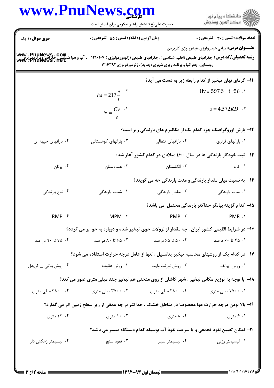| www.PnuNews.com                     | حضرت علی(ع): دانش راهبر نیکویی برای ایمان است                                                      |                                                                  | ڪ دانشڪاه پيا <sub>م</sub> نور<br>7ء مرڪز آزمون وسنڊش                                                                                                          |  |  |
|-------------------------------------|----------------------------------------------------------------------------------------------------|------------------------------------------------------------------|----------------------------------------------------------------------------------------------------------------------------------------------------------------|--|--|
| <b>سری سوال : ۱ یک</b>              | زمان آزمون (دقیقه) : تستی : 55 تشریحی : 0                                                          |                                                                  | <b>تعداد سوالات : تستي : 30 ٪ تشريحي : 0</b>                                                                                                                   |  |  |
| www.pnuNews.com<br> www.pnuNews.net |                                                                                                    | روستایی، جغرافیا و برنامه ریزی شهری (جدید)، ژئومورفولوژی ۱۲۱۶۳۹۳ | <b>عنـــوان درس:</b> مبانی هیدرولوژی،هیدرولوژی کاربردی<br><b>رشته تحصیلی/کد درس:</b> جغرافیای طبیعی (اقلیم شناسی )، جغرافیای طبیعی (ژئومورفولوژی ) ۱۲۱۶۱۰۷ - ، |  |  |
|                                     |                                                                                                    |                                                                  | 11- گرمای نهان تبخیر از کدام رابطه زیر به دست می آید؟                                                                                                          |  |  |
|                                     | $ha = 217 \frac{e}{t}$ . <sup>5</sup>                                                              |                                                                  | $Hv = 597.3 - t$ . $/56$ .                                                                                                                                     |  |  |
|                                     | $N = \frac{Cv}{e}$ $\cdot$ <sup>5</sup>                                                            |                                                                  | $s = 4.572KD$ .                                                                                                                                                |  |  |
|                                     |                                                                                                    |                                                                  | 12- بارش اوروگرافیک جزء کدام یک از مکانیزم های بارندگی زیر است؟                                                                                                |  |  |
| ۰۴ بارانهای جبهه ای                 | ۰۳ بارانهای کوهستانی                                                                               | ۰۲ بارانهای انتقالی                                              | ۰۱ بارانهای فرازی                                                                                                                                              |  |  |
|                                     |                                                                                                    |                                                                  | ۱۳- ثبت خودکار بارندگی ها در سال ۱۶۰۰ میلادی در کدام کشور آغاز شد؟                                                                                             |  |  |
| ۰۴ يونان                            | ۰۳ هندوستان                                                                                        | ۰۲ انگلستان                                                      | ۰۱ کره                                                                                                                                                         |  |  |
|                                     |                                                                                                    |                                                                  | ۱۴- به نسبت میان مقدار بارندگی و مدت بارندگی چه می گویند؟                                                                                                      |  |  |
| ۰۴ نوع بارندگی                      | ۰۳ شدت بارندگی                                                                                     | ۰۲ مقدار بارندگی                                                 | ۰۱ مدت بارندگی                                                                                                                                                 |  |  |
|                                     |                                                                                                    |                                                                  | 1۵– کدام گزینه بیانگر حداکثر بارندگی محتمل می باشد؟                                                                                                            |  |  |
| RMP .f                              | MPM . ٣                                                                                            | PMP . ٢                                                          | PMR .1                                                                                                                                                         |  |  |
|                                     | ۱۶- در شرایط اقلیمی کشور ایران ، چه مقدار از نزولات جوی تبخیر شده و دوباره به جو بر می گردد؟       |                                                                  |                                                                                                                                                                |  |  |
| ۰۴ تا ۹۰ در صد                      | ۰۳ ه ۶۵ تا ۸۰ در صد                                                                                | ۰۲ ۵۰ تا ۶۵ درصد                                                 | ۰۱ ۴۵ تا ۶۰د صد                                                                                                                                                |  |  |
|                                     | ۱۷- در کدام یک از روشهای محاسبه تبخیر پتانسیل ، تنها از عامل درجه حرارت استفاده می شود؟            |                                                                  |                                                                                                                                                                |  |  |
| ۰۴ روش بلانی _ کریدل                | ۰۳ روش هائوده                                                                                      | ۰۲ روش تورنت وايت                                                | ۰۱ روش ایوانف                                                                                                                                                  |  |  |
|                                     | ۱۸- با توجه به توزیع مکانی تبخیر ، شهر کاشان از روی منحنی هم تبخیر چند میلی متری عبور می کند؟      |                                                                  |                                                                                                                                                                |  |  |
| ۰۴ ۲۸۰۰ میلی متری                   | ۰۳ . ۳۷۰۰ میلی متری                                                                                | ۰۲ ۲۸۰۰ میلی متری                                                | ۰۱ ۲۷۰۰۰ میلی متری                                                                                                                                             |  |  |
|                                     | ۱۹- بالا بودن درجه حرارت هوا مخصوصا در مناطق خشک ، حداکثر بر چه عمقی از زیر سطح زمین اثر می گذارد؟ |                                                                  |                                                                                                                                                                |  |  |
| ۰۴ متری                             | ۰۰ ۱۰ متری                                                                                         | ۰۲ ۸ متری                                                        | ۰۱ ۶ متری                                                                                                                                                      |  |  |
|                                     |                                                                                                    |                                                                  | ۲۰- امکان تعیین نفوذ تجمعی و یا سرعت نفوذ آب بوسیله کدام دستگاه میسر می باشد؟                                                                                  |  |  |
| ۰۴ لیسیمتر زهکش دار                 | ۰۳ نفوذ سنج                                                                                        | ۰۲ لیسیمتر سیار                                                  | ۰۱ لیسیمتر وزنی                                                                                                                                                |  |  |